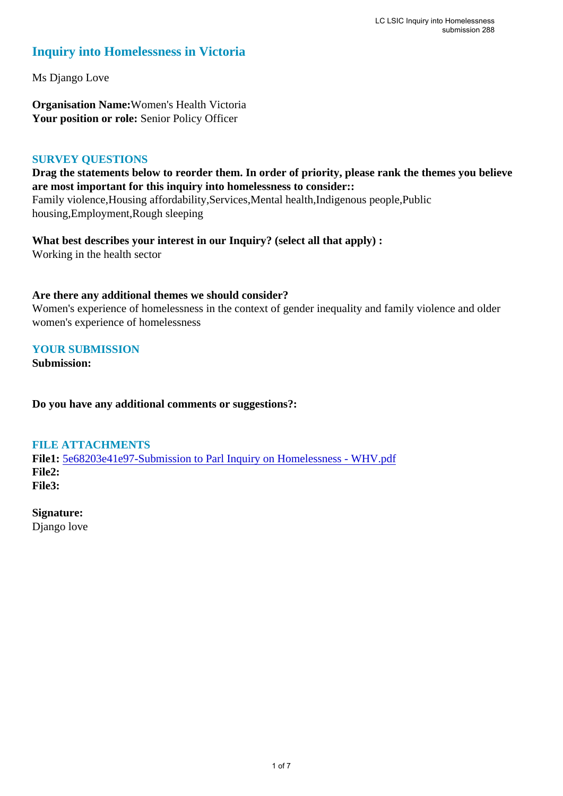# **Inquiry into Homelessness in Victoria**

Ms Django Love

**Organisation Name:**Women's Health Victoria **Your position or role:** Senior Policy Officer

# **SURVEY QUESTIONS**

**Drag the statements below to reorder them. In order of priority, please rank the themes you believe are most important for this inquiry into homelessness to consider::**  Family violence,Housing affordability,Services,Mental health,Indigenous people,Public housing,Employment,Rough sleeping

**What best describes your interest in our Inquiry? (select all that apply) :**  Working in the health sector

### **Are there any additional themes we should consider?**

Women's experience of homelessness in the context of gender inequality and family violence and older women's experience of homelessness

# **YOUR SUBMISSION**

**Submission:** 

**Do you have any additional comments or suggestions?:** 

## **FILE ATTACHMENTS**

**File1:** 5e68203e41e97-Submission to Parl Inquiry on Homelessness - WHV.pdf **File2: File3:** 

# **Signature:**

Django love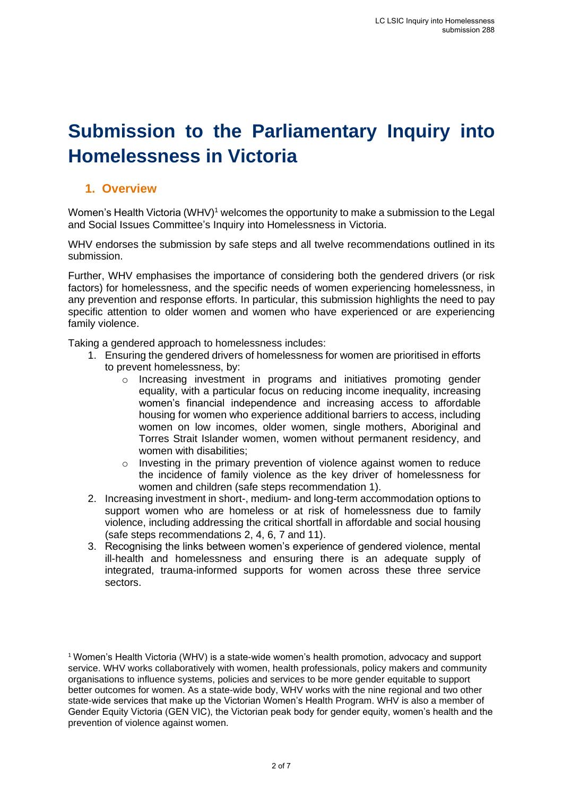# **Submission to the Parliamentary Inquiry into Homelessness in Victoria**

# **1. Overview**

Women's Health Victoria (WHV)<sup>1</sup> welcomes the opportunity to make a submission to the Legal and Social Issues Committee's Inquiry into Homelessness in Victoria.

WHV endorses the submission by safe steps and all twelve recommendations outlined in its submission.

Further, WHV emphasises the importance of considering both the gendered drivers (or risk factors) for homelessness, and the specific needs of women experiencing homelessness, in any prevention and response efforts. In particular, this submission highlights the need to pay specific attention to older women and women who have experienced or are experiencing family violence.

Taking a gendered approach to homelessness includes:

- 1. Ensuring the gendered drivers of homelessness for women are prioritised in efforts to prevent homelessness, by:
	- $\circ$  Increasing investment in programs and initiatives promoting gender equality, with a particular focus on reducing income inequality, increasing women's financial independence and increasing access to affordable housing for women who experience additional barriers to access, including women on low incomes, older women, single mothers, Aboriginal and Torres Strait Islander women, women without permanent residency, and women with disabilities:
	- o Investing in the primary prevention of violence against women to reduce the incidence of family violence as the key driver of homelessness for women and children (safe steps recommendation 1).
- 2. Increasing investment in short-, medium- and long-term accommodation options to support women who are homeless or at risk of homelessness due to family violence, including addressing the critical shortfall in affordable and social housing (safe steps recommendations 2, 4, 6, 7 and 11).
- 3. Recognising the links between women's experience of gendered violence, mental ill-health and homelessness and ensuring there is an adequate supply of integrated, trauma-informed supports for women across these three service sectors.

 $1$  Women's Health Victoria (WHV) is a state-wide women's health promotion, advocacy and support service. WHV works collaboratively with women, health professionals, policy makers and community organisations to influence systems, policies and services to be more gender equitable to support better outcomes for women. As a state-wide body, WHV works with the nine regional and two other state-wide services that make up the Victorian Women's Health Program. WHV is also a member of Gender Equity Victoria (GEN VIC), the Victorian peak body for gender equity, women's health and the prevention of violence against women.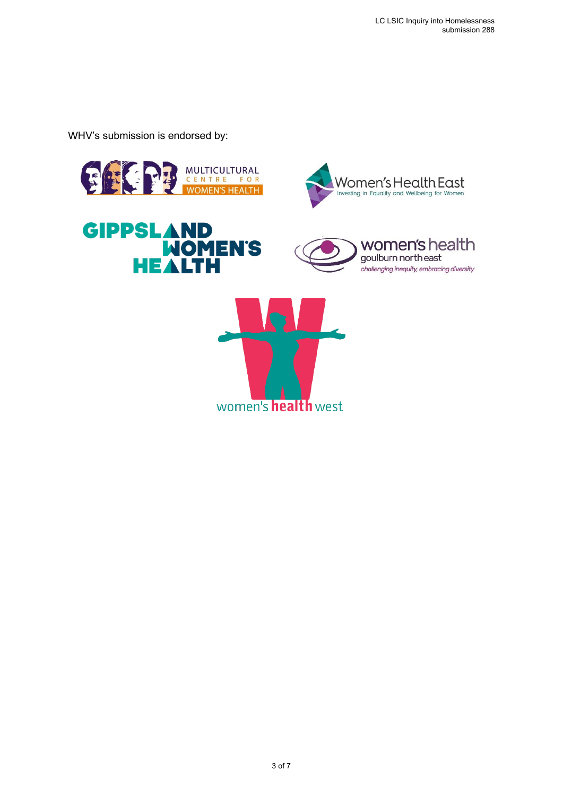WHV's submission is endorsed by:









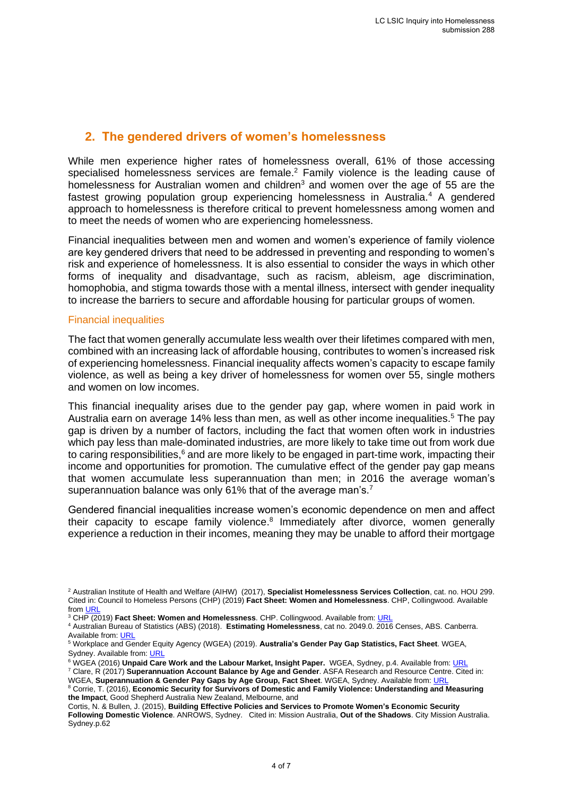# **2. The gendered drivers of women's homelessness**

While men experience higher rates of homelessness overall, 61% of those accessing specialised homelessness services are female.<sup>2</sup> Family violence is the leading cause of homelessness for Australian women and children<sup>3</sup> and women over the age of 55 are the fastest growing population group experiencing homelessness in Australia.<sup>4</sup> A gendered approach to homelessness is therefore critical to prevent homelessness among women and to meet the needs of women who are experiencing homelessness.

Financial inequalities between men and women and women's experience of family violence are key gendered drivers that need to be addressed in preventing and responding to women's risk and experience of homelessness. It is also essential to consider the ways in which other forms of inequality and disadvantage, such as racism, ableism, age discrimination, homophobia, and stigma towards those with a mental illness, intersect with gender inequality to increase the barriers to secure and affordable housing for particular groups of women.

#### Financial inequalities

The fact that women generally accumulate less wealth over their lifetimes compared with men, combined with an increasing lack of affordable housing, contributes to women's increased risk of experiencing homelessness. Financial inequality affects women's capacity to escape family violence, as well as being a key driver of homelessness for women over 55, single mothers and women on low incomes.

This financial inequality arises due to the gender pay gap, where women in paid work in Australia earn on average 14% less than men, as well as other income inequalities.<sup>5</sup> The pay gap is driven by a number of factors, including the fact that women often work in industries which pay less than male-dominated industries, are more likely to take time out from work due to caring responsibilities, $6$  and are more likely to be engaged in part-time work, impacting their income and opportunities for promotion. The cumulative effect of the gender pay gap means that women accumulate less superannuation than men; in 2016 the average woman's superannuation balance was only 61% that of the average man's.<sup>7</sup>

Gendered financial inequalities increase women's economic dependence on men and affect their capacity to escape family violence.<sup>8</sup> Immediately after divorce, women generally experience a reduction in their incomes, meaning they may be unable to afford their mortgage

WGEA, Superannuation & Gender Pay Gaps by Age Group, Fact Sheet. WGEA, Sydney. Available from: URI

<sup>2</sup> Australian Institute of Health and Welfare (AIHW) (2017), **Specialist Homelessness Services Collection**, cat. no. HOU 299. Cited in: Council to Homeless Persons (CHP) (2019) **Fact Sheet: Women and Homelessness**. CHP, Collingwood. Available from  $\overline{\text{IR}}$ 

<sup>3</sup> CHP (2019) **Fact Sheet: Women and Homelessness**. CHP. Collingwood. Available from: URL

<sup>4</sup> Australian Bureau of Statistics (ABS) (2018). **Estimating Homelessness**, cat no. 2049.0. 2016 Censes, ABS. Canberra. Available from: **URL** 

<sup>5</sup> Workplace and Gender Equity Agency (WGEA) (2019). **Australia's Gender Pay Gap Statistics, Fact Sheet**. WGEA, Sydney. Available from: URL

<sup>&</sup>lt;sup>6</sup> WGEA (2016) **Unpaid Care Work and the Labour Market, Insight Paper.** WGEA, Sydney, p.4. Available from: **URL** <sup>7</sup> Clare, R (2017) **Superannuation Account Balance by Age and Gender**. ASFA Research and Resource Centre. Cited in:

<sup>8</sup> Corrie, T. (2016), **Economic Security for Survivors of Domestic and Family Violence: Understanding and Measuring the Impact**, Good Shepherd Australia New Zealand, Melbourne, and

Cortis, N. & Bullen, J. (2015), **Building Effective Policies and Services to Promote Women's Economic Security Following Domestic Violence**. ANROWS, Sydney. Cited in: Mission Australia, **Out of the Shadows**. City Mission Australia. Sydney.p.62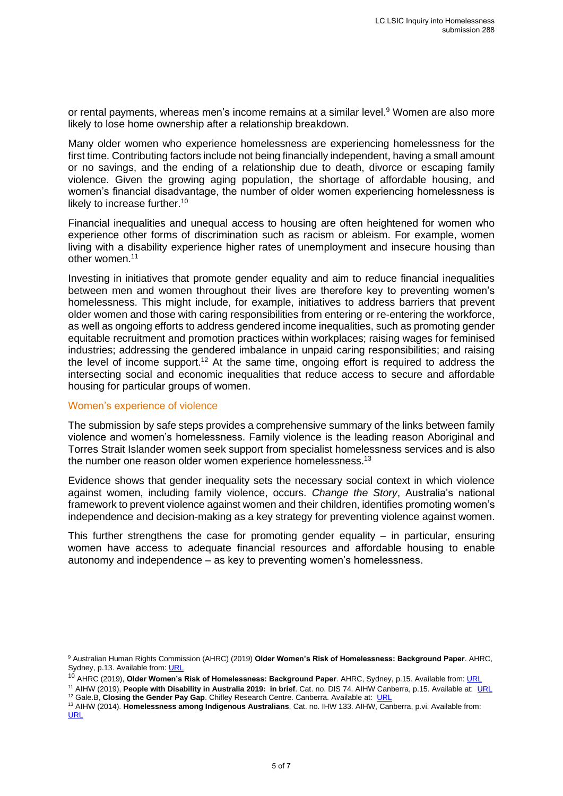or rental payments, whereas men's income remains at a similar level. <sup>9</sup> Women are also more likely to lose home ownership after a relationship breakdown.

Many older women who experience homelessness are experiencing homelessness for the first time. Contributing factors include not being financially independent, having a small amount or no savings, and the ending of a relationship due to death, divorce or escaping family violence. Given the growing aging population, the shortage of affordable housing, and women's financial disadvantage, the number of older women experiencing homelessness is likely to increase further.<sup>10</sup>

Financial inequalities and unequal access to housing are often heightened for women who experience other forms of discrimination such as racism or ableism. For example, women living with a disability experience higher rates of unemployment and insecure housing than other women.<sup>11</sup>

Investing in initiatives that promote gender equality and aim to reduce financial inequalities between men and women throughout their lives are therefore key to preventing women's homelessness. This might include, for example, initiatives to address barriers that prevent older women and those with caring responsibilities from entering or re-entering the workforce, as well as ongoing efforts to address gendered income inequalities, such as promoting gender equitable recruitment and promotion practices within workplaces; raising wages for feminised industries; addressing the gendered imbalance in unpaid caring responsibilities; and raising the level of income support.<sup>12</sup> At the same time, ongoing effort is required to address the intersecting social and economic inequalities that reduce access to secure and affordable housing for particular groups of women.

#### Women's experience of violence

The submission by safe steps provides a comprehensive summary of the links between family violence and women's homelessness. Family violence is the leading reason Aboriginal and Torres Strait Islander women seek support from specialist homelessness services and is also the number one reason older women experience homelessness.<sup>13</sup>

Evidence shows that gender inequality sets the necessary social context in which violence against women, including family violence, occurs. *Change the Story*, Australia's national framework to prevent violence against women and their children, identifies promoting women's independence and decision-making as a key strategy for preventing violence against women.

This further strengthens the case for promoting gender equality  $-$  in particular, ensuring women have access to adequate financial resources and affordable housing to enable autonomy and independence – as key to preventing women's homelessness.

<sup>10</sup> AHRC (2019), **Older Women's Risk of Homelessness: Background Paper**. AHRC, Sydney, p.15. Available from: URL

<sup>11</sup> AIHW (2019), **People with Disability in Australia 2019: in brief**. Cat. no. DIS 74. AIHW Canberra, p.15. Available at: URL <sup>12</sup> Gale.B, Closing the Gender Pay Gap. Chifley Research Centre. Canberra. Available at: URL

<sup>9</sup> Australian Human Rights Commission (AHRC) (2019) **Older Women's Risk of Homelessness: Background Paper**. AHRC, Sydney, p.13. Available from: URL

<sup>13</sup> AIHW (2014). **Homelessness among Indigenous Australians**, Cat. no. IHW 133. AIHW, Canberra, p.vi. Available from: URL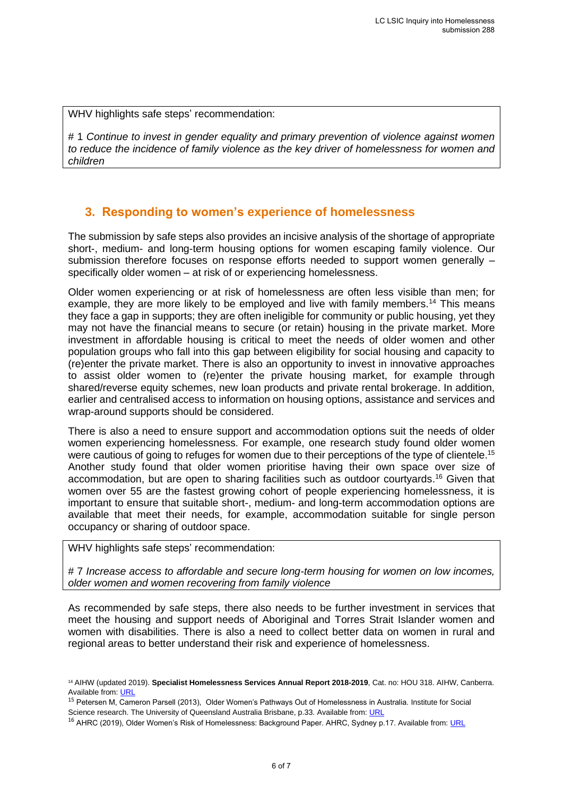WHV highlights safe steps' recommendation:

# 1 *Continue to invest in gender equality and primary prevention of violence against women to reduce the incidence of family violence as the key driver of homelessness for women and children*

# **3. Responding to women's experience of homelessness**

The submission by safe steps also provides an incisive analysis of the shortage of appropriate short-, medium- and long-term housing options for women escaping family violence. Our submission therefore focuses on response efforts needed to support women generally – specifically older women – at risk of or experiencing homelessness.

Older women experiencing or at risk of homelessness are often less visible than men; for example, they are more likely to be employed and live with family members.<sup>14</sup> This means they face a gap in supports; they are often ineligible for community or public housing, yet they may not have the financial means to secure (or retain) housing in the private market. More investment in affordable housing is critical to meet the needs of older women and other population groups who fall into this gap between eligibility for social housing and capacity to (re)enter the private market. There is also an opportunity to invest in innovative approaches to assist older women to (re)enter the private housing market, for example through shared/reverse equity schemes, new loan products and private rental brokerage. In addition, earlier and centralised access to information on housing options, assistance and services and wrap-around supports should be considered.

There is also a need to ensure support and accommodation options suit the needs of older women experiencing homelessness. For example, one research study found older women were cautious of going to refuges for women due to their perceptions of the type of clientele.<sup>15</sup> Another study found that older women prioritise having their own space over size of accommodation, but are open to sharing facilities such as outdoor courtyards. <sup>16</sup> Given that women over 55 are the fastest growing cohort of people experiencing homelessness, it is important to ensure that suitable short-, medium- and long-term accommodation options are available that meet their needs, for example, accommodation suitable for single person occupancy or sharing of outdoor space.

WHV highlights safe steps' recommendation:

# 7 *Increase access to affordable and secure long-term housing for women on low incomes, older women and women recovering from family violence*

As recommended by safe steps, there also needs to be further investment in services that meet the housing and support needs of Aboriginal and Torres Strait Islander women and women with disabilities. There is also a need to collect better data on women in rural and regional areas to better understand their risk and experience of homelessness.

<sup>14</sup> AIHW (updated 2019). **Specialist Homelessness Services Annual Report 2018-2019**, Cat. no: HOU 318. AIHW, Canberra. Available from: URL

<sup>15</sup> Petersen M, Cameron Parsell (2013), Older Women's Pathways Out of Homelessness in Australia. Institute for Social Science research. The University of Queensland Australia Brisbane, p.33. Available from: URL

<sup>&</sup>lt;sup>16</sup> AHRC (2019), Older Women's Risk of Homelessness: Background Paper. AHRC, Sydney p.17. Available from: URL